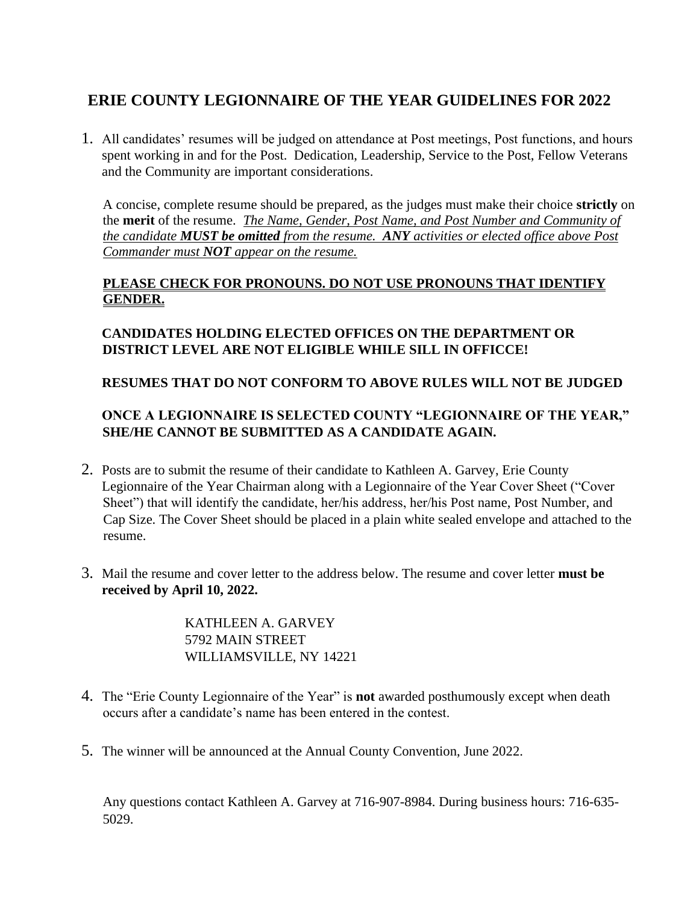# **ERIE COUNTY LEGIONNAIRE OF THE YEAR GUIDELINES FOR 2022**

1. All candidates' resumes will be judged on attendance at Post meetings, Post functions, and hours spent working in and for the Post. Dedication, Leadership, Service to the Post, Fellow Veterans and the Community are important considerations.

A concise, complete resume should be prepared, as the judges must make their choice **strictly** on the **merit** of the resume. *The Name, Gender, Post Name, and Post Number and Community of the candidate MUST be omitted from the resume. ANY activities or elected office above Post Commander must NOT appear on the resume.*

#### **PLEASE CHECK FOR PRONOUNS. DO NOT USE PRONOUNS THAT IDENTIFY GENDER.**

## **CANDIDATES HOLDING ELECTED OFFICES ON THE DEPARTMENT OR DISTRICT LEVEL ARE NOT ELIGIBLE WHILE SILL IN OFFICCE!**

#### **RESUMES THAT DO NOT CONFORM TO ABOVE RULES WILL NOT BE JUDGED**

### **ONCE A LEGIONNAIRE IS SELECTED COUNTY "LEGIONNAIRE OF THE YEAR," SHE/HE CANNOT BE SUBMITTED AS A CANDIDATE AGAIN.**

- 2. Posts are to submit the resume of their candidate to Kathleen A. Garvey, Erie County Legionnaire of the Year Chairman along with a Legionnaire of the Year Cover Sheet ("Cover Sheet") that will identify the candidate, her/his address, her/his Post name, Post Number, and Cap Size. The Cover Sheet should be placed in a plain white sealed envelope and attached to the resume.
- 3. Mail the resume and cover letter to the address below. The resume and cover letter **must be received by April 10, 2022.**

KATHLEEN A. GARVEY 5792 MAIN STREET WILLIAMSVILLE, NY 14221

- 4. The "Erie County Legionnaire of the Year" is **not** awarded posthumously except when death occurs after a candidate's name has been entered in the contest.
- 5. The winner will be announced at the Annual County Convention, June 2022.

Any questions contact Kathleen A. Garvey at 716-907-8984. During business hours: 716-635- 5029.